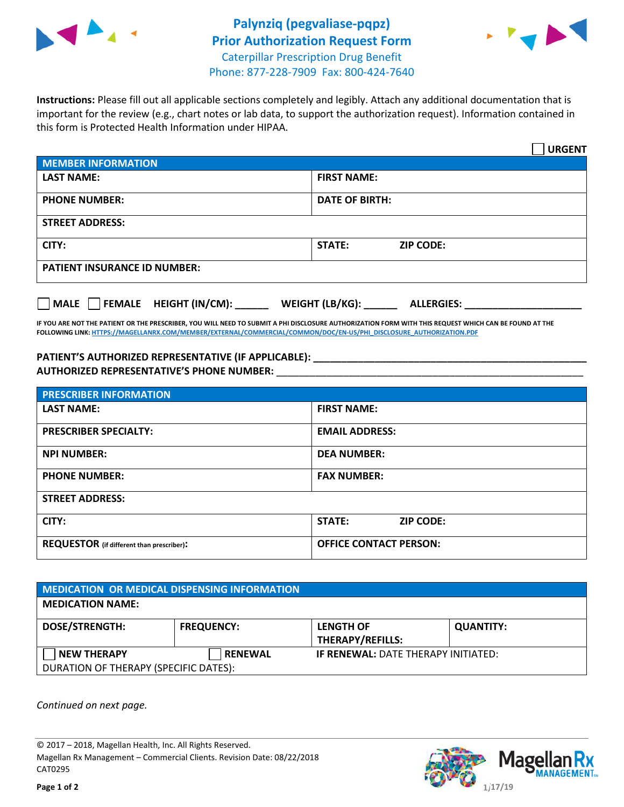



**Instructions:** Please fill out all applicable sections completely and legibly. Attach any additional documentation that is important for the review (e.g., chart notes or lab data, to support the authorization request). Information contained in this form is Protected Health Information under HIPAA.

|                                        | <b>URGENT</b>                        |  |  |
|----------------------------------------|--------------------------------------|--|--|
| <b>MEMBER INFORMATION</b>              |                                      |  |  |
| <b>LAST NAME:</b>                      | <b>FIRST NAME:</b>                   |  |  |
| <b>PHONE NUMBER:</b>                   | <b>DATE OF BIRTH:</b>                |  |  |
| <b>STREET ADDRESS:</b>                 |                                      |  |  |
| CITY:                                  | <b>ZIP CODE:</b><br>STATE:           |  |  |
| <b>PATIENT INSURANCE ID NUMBER:</b>    |                                      |  |  |
| FEMALE HEIGHT (IN/CM):<br>$\vert$ MALE | WEIGHT (LB/KG):<br><b>ALLERGIES:</b> |  |  |

**IF YOU ARE NOT THE PATIENT OR THE PRESCRIBER, YOU WILL NEED TO SUBMIT A PHI DISCLOSURE AUTHORIZATION FORM WITH THIS REQUEST WHICH CAN BE FOUND AT THE FOLLOWING LINK: HTTPS://MAGELLANRX.COM/MEMBER/EXTERNAL/COMMERCIAL/COMMON/DOC/EN-US/PHI\_DISCLOSURE\_AUTHORIZATION.PDF**

**PATIENT'S AUTHORIZED REPRESENTATIVE (IF APPLICABLE):** \_\_\_\_\_\_\_\_\_\_\_\_\_\_\_\_\_\_\_\_\_\_\_\_\_\_ **AUTHORIZED REPRESENTATIVE'S PHONE NUMBER:** \_\_\_\_\_\_\_\_\_\_\_\_\_\_\_\_\_\_\_\_\_\_\_\_\_\_\_\_\_\_\_\_\_\_\_\_\_\_\_\_\_\_\_\_\_\_\_\_\_\_\_\_\_\_\_

| <b>PRESCRIBER INFORMATION</b>             |                               |  |  |  |
|-------------------------------------------|-------------------------------|--|--|--|
| <b>LAST NAME:</b>                         | <b>FIRST NAME:</b>            |  |  |  |
| <b>PRESCRIBER SPECIALTY:</b>              | <b>EMAIL ADDRESS:</b>         |  |  |  |
| <b>NPI NUMBER:</b>                        | <b>DEA NUMBER:</b>            |  |  |  |
| <b>PHONE NUMBER:</b>                      | <b>FAX NUMBER:</b>            |  |  |  |
| <b>STREET ADDRESS:</b>                    |                               |  |  |  |
| CITY:                                     | STATE:<br><b>ZIP CODE:</b>    |  |  |  |
| REQUESTOR (if different than prescriber): | <b>OFFICE CONTACT PERSON:</b> |  |  |  |

| <b>MEDICATION OR MEDICAL DISPENSING INFORMATION</b> |                   |                                             |                  |  |  |
|-----------------------------------------------------|-------------------|---------------------------------------------|------------------|--|--|
| <b>MEDICATION NAME:</b>                             |                   |                                             |                  |  |  |
| <b>DOSE/STRENGTH:</b>                               | <b>FREQUENCY:</b> | <b>LENGTH OF</b><br><b>THERAPY/REFILLS:</b> | <b>QUANTITY:</b> |  |  |
| <b>NEW THERAPY</b>                                  | <b>RENEWAL</b>    | <b>IF RENEWAL: DATE THERAPY INITIATED:</b>  |                  |  |  |
| DURATION OF THERAPY (SPECIFIC DATES):               |                   |                                             |                  |  |  |

*Continued on next page.* 

© 2017 – 2018, Magellan Health, Inc. All Rights Reserved. Magellan Rx Management – Commercial Clients. Revision Date: 08/22/2018 CAT0295